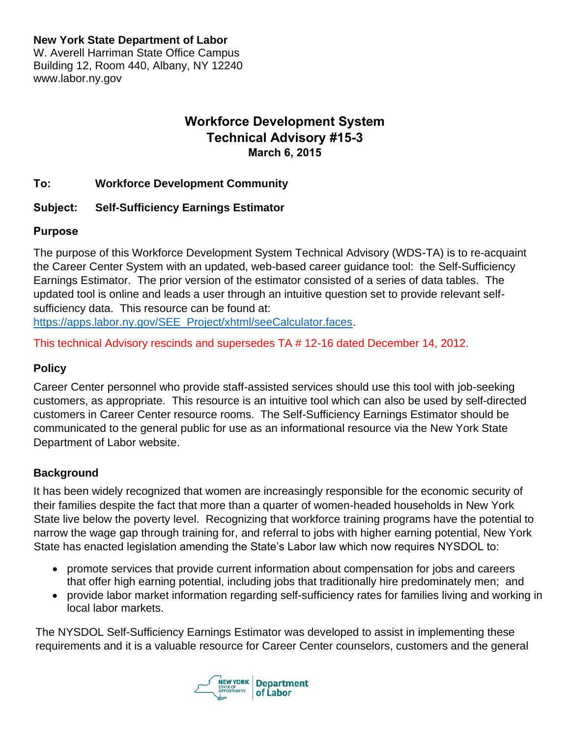### **New York State Department of Labor**

W. Averell Harriman State Office Campus Building 12, Room 440, Albany, NY 12240 www.labor.ny.gov

# **Workforce Development System Technical Advisory #15-3 March 6, 2015**

#### **To: Workforce Development Community**

#### **Subject: Self-Sufficiency Earnings Estimator**

#### **Purpose**

The purpose of this Workforce Development System Technical Advisory (WDS-TA) is to re-acquaint the Career Center System with an updated, web-based career guidance tool: the Self-Sufficiency Earnings Estimator. The prior version of the estimator consisted of a series of data tables. The updated tool is online and leads a user through an intuitive question set to provide relevant selfsufficiency data. This resource can be found at:

[https://apps.labor.ny.gov/SEE\\_Project/xhtml/seeCalculator.faces.](https://apps.labor.ny.gov/SEE_Project/xhtml/seeCalculator.faces)

This technical Advisory rescinds and supersedes TA # 12-16 dated December 14, 2012.

#### **Policy**

Career Center personnel who provide staff-assisted services should use this tool with job-seeking customers, as appropriate. This resource is an intuitive tool which can also be used by self-directed customers in Career Center resource rooms. The Self-Sufficiency Earnings Estimator should be communicated to the general public for use as an informational resource via the New York State Department of Labor website.

#### **Background**

It has been widely recognized that women are increasingly responsible for the economic security of their families despite the fact that more than a quarter of women-headed households in New York State live below the poverty level. Recognizing that workforce training programs have the potential to narrow the wage gap through training for, and referral to jobs with higher earning potential, New York State has enacted legislation amending the State's Labor law which now requires NYSDOL to:

- promote services that provide current information about compensation for jobs and careers that offer high earning potential, including jobs that traditionally hire predominately men; and
- provide labor market information regarding self-sufficiency rates for families living and working in local labor markets.

The NYSDOL Self-Sufficiency Earnings Estimator was developed to assist in implementing these requirements and it is a valuable resource for Career Center counselors, customers and the general